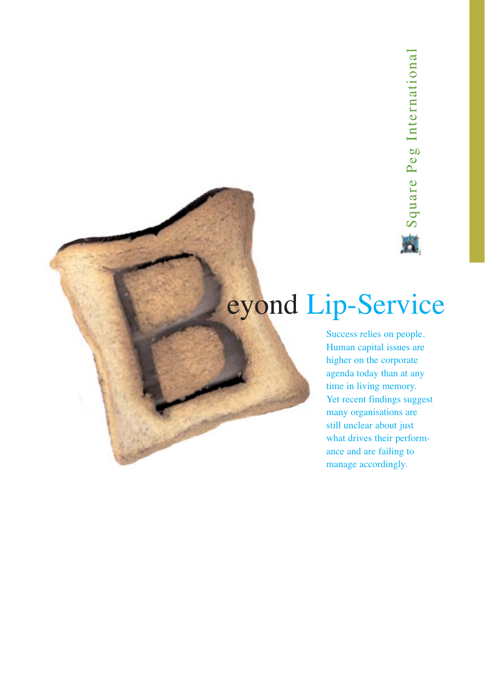### eyond Lip-Service

Success relies on people. Human capital issues are higher on the corporate agenda today than at any time in living memory. Yet recent findings suggest many organisations are still unclear about just what drives their performance and are failing to manage accordingly.<br>
The Service and are for the same of the same of the same of the same of the same of the same of the same of the same of the same of the same of the same of the same of the same of the same of the same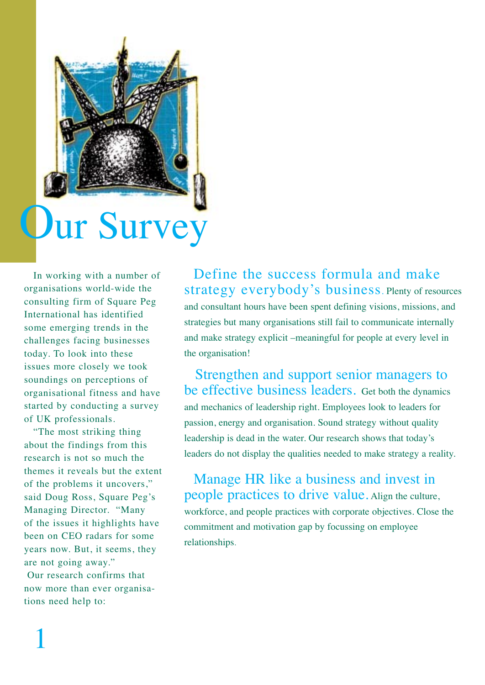

In working with a number of organisations world-wide the consulting firm of Square Peg International has identified some emerging trends in the challenges facing businesses today. To look into these issues more closely we took soundings on perceptions of organisational fitness and have started by conducting a survey of UK professionals.

"The most striking thing about the findings from this research is not so much the themes it reveals but the extent of the problems it uncovers," said Doug Ross, Square Peg's Managing Director. "Many of the issues it highlights have been on CEO radars for some years now. But, it seems, they are not going away." Our research confirms that now more than ever organisations need help to:

Define the success formula and make strategy everybody's business. Plenty of resources and consultant hours have been spent defining visions, missions, and strategies but many organisations still fail to communicate internally and make strategy explicit –meaningful for people at every level in the organisation!

Strengthen and support senior managers to be effective business leaders. Get both the dynamics and mechanics of leadership right. Employees look to leaders for passion, energy and organisation. Sound strategy without quality leadership is dead in the water. Our research shows that today's leaders do not display the qualities needed to make strategy a reality.

Manage HR like a business and invest in people practices to drive value. Align the culture, workforce, and people practices with corporate objectives. Close the commitment and motivation gap by focussing on employee relationships.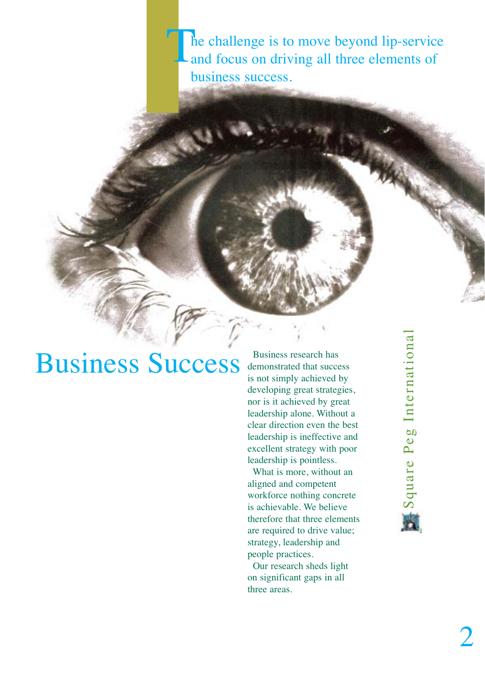he challenge is to move beyond lip-service and focus on driving all three elements of business success. T

### **Business Success** demonstrated that succe

demonstrated that success is not simply achieved by developing great strategies, nor is it achieved by great leadership alone. Without a clear direction even the best leadership is ineffective and excellent strategy with poor leadership is pointless.

What is more, without an aligned and competent workforce nothing concrete is achievable. We believe therefore that three elements are required to drive value; strategy, leadership and people practices.

Our research sheds light on significant gaps in all three areas.

Square Peg International Square Peg International 賓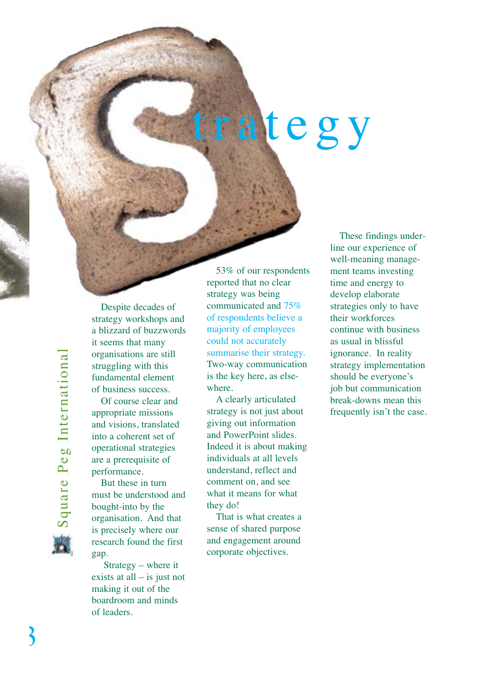# trategy



Despite decades of strategy workshops and a blizzard of buzzwords it seems that many organisations are still struggling with this fundamental element of business success.

Of course clear and appropriate missions and visions, translated into a coherent set of operational strategies are a prerequisite of performance.

But these in turn must be understood and bought-into by the organisation. And that is precisely where our research found the first gap.

Strategy – where it exists at all – is just not making it out of the boardroom and minds of leaders.

53% of our respondents reported that no clear strategy was being communicated and 75% of respondents believe a majority of employees could not accurately summarise their strategy. Two-way communication is the key here, as elsewhere.

A clearly articulated strategy is not just about giving out information and PowerPoint slides. Indeed it is about making individuals at all levels understand, reflect and comment on, and see what it means for what they do!

That is what creates a sense of shared purpose and engagement around corporate objectives.

These findings underline our experience of well-meaning management teams investing time and energy to develop elaborate strategies only to have their workforces continue with business as usual in blissful ignorance. In reality strategy implementation should be everyone's job but communication break-downs mean this frequently isn't the case.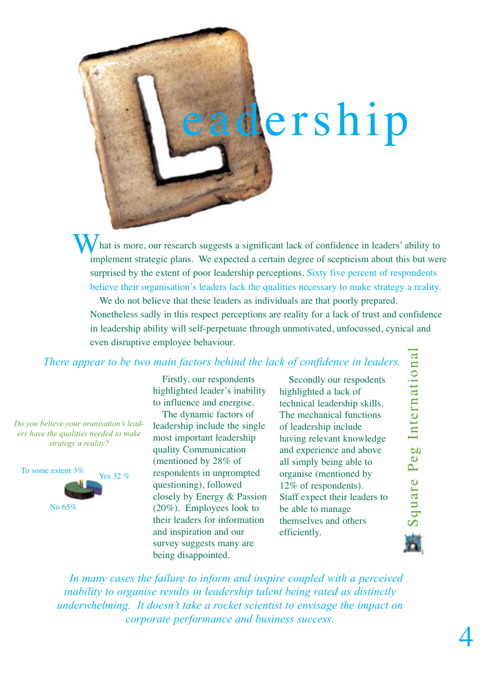## dership

hat is more, our research suggests a significant lack of confidence in leaders' ability to implement strategic plans. We expected a certain degree of scepticism about this but were surprised by the extent of poor leadership perceptions. Sixty five percent of respondents believe their organisation's leaders lack the qualities necessary to make strategy a reality. W

We do not believe that these leaders as individuals are that poorly prepared. Nonetheless sadly in this respect perceptions are reality for a lack of trust and confidence in leadership ability will self-perpetuate through unmotivated, unfocussed, cynical and even disruptive employee behaviour.

*There appear to be two main factors behind the lack of confidence in leaders.*

*Do you believe your oranisation's leaders have the qualities needed to make strategy a reality?*



Firstly, our respondents highlighted leader's inability to influence and energise.

The dynamic factors of leadership include the single most important leadership quality Communication (mentioned by 28% of respondents in unprompted questioning), followed closely by Energy & Passion (20%). Employees look to their leaders for information and inspiration and our survey suggests many are being disappointed.

Secondly our respodents highlighted a lack of technical leadership skills. The mechanical functions of leadership include having relevant knowledge and experience and above all simply being able to organise (mentioned by 12% of respondents). Staff expect their leaders to be able to manage themselves and others efficiently.

Square Peg International Square Peg International

*In many cases the failure to inform and inspire coupled with a perceived inability to organise results in leadership talent being rated as distinctly underwhelming. It doesn't take a rocket scientist to envisage the impact on corporate performance and business success.*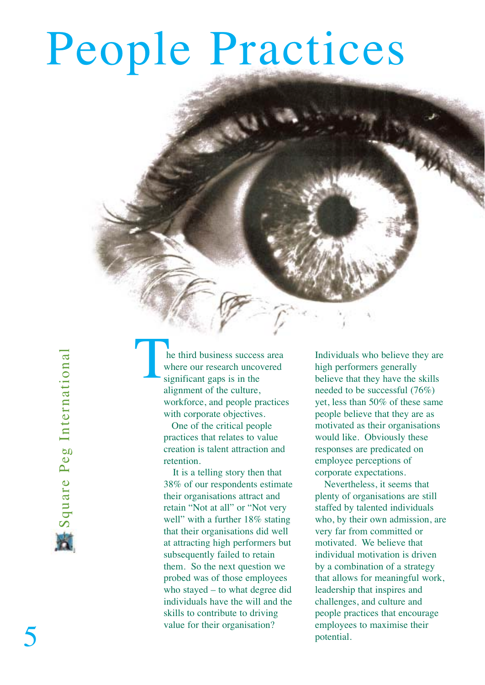# People Practices

Square Peg International Square Peg International

he third business success area where our research uncovered significant gaps is in the alignment of the culture, workforce, and people practices with corporate objectives.  $\begin{array}{c}\n\begin{array}{c}\n\text{h} \\
\text{w} \\
\text{si}\n\end{array}\n\end{array}$ 

One of the critical people practices that relates to value creation is talent attraction and retention.

It is a telling story then that 38% of our respondents estimate their organisations attract and retain "Not at all" or "Not very well" with a further 18% stating that their organisations did well at attracting high performers but subsequently failed to retain them. So the next question we probed was of those employees who stayed – to what degree did individuals have the will and the skills to contribute to driving value for their organisation?

Individuals who believe they are high performers generally believe that they have the skills needed to be successful (76%) yet, less than 50% of these same people believe that they are as motivated as their organisations would like. Obviously these responses are predicated on employee perceptions of corporate expectations.

Nevertheless, it seems that plenty of organisations are still staffed by talented individuals who, by their own admission, are very far from committed or motivated. We believe that individual motivation is driven by a combination of a strategy that allows for meaningful work, leadership that inspires and challenges, and culture and people practices that encourage employees to maximise their potential.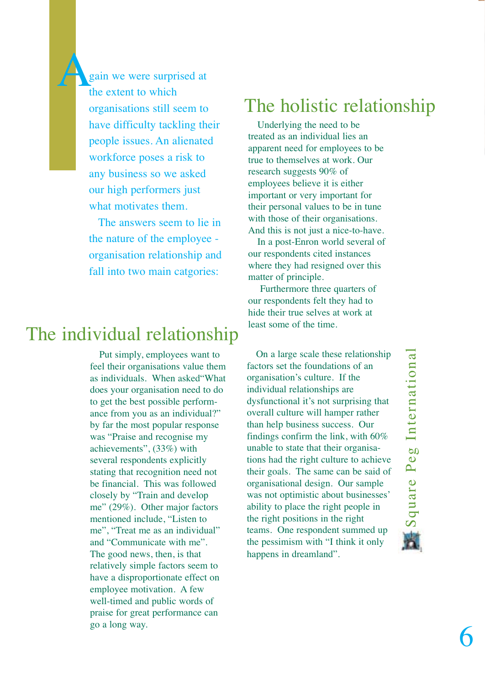gain we were surprised at the extent to which organisations still seem to have difficulty tackling their people issues. An alienated workforce poses a risk to any business so we asked our high performers just what motivates them. A

> The answers seem to lie in the nature of the employee organisation relationship and fall into two main catgories:

### The individual relationship

Put simply, employees want to feel their organisations value them as individuals. When asked"What does your organisation need to do to get the best possible performance from you as an individual?" by far the most popular response was "Praise and recognise my achievements", (33%) with several respondents explicitly stating that recognition need not be financial. This was followed closely by "Train and develop me" (29%). Other major factors mentioned include, "Listen to me", "Treat me as an individual" and "Communicate with me". The good news, then, is that relatively simple factors seem to have a disproportionate effect on employee motivation. A few well-timed and public words of praise for great performance can go a long way.

#### The holistic relationship

Underlying the need to be treated as an individual lies an apparent need for employees to be true to themselves at work. Our research suggests 90% of employees believe it is either important or very important for their personal values to be in tune with those of their organisations. And this is not just a nice-to-have.

In a post-Enron world several of our respondents cited instances where they had resigned over this matter of principle.

Furthermore three quarters of our respondents felt they had to hide their true selves at work at least some of the time.

On a large scale these relationship factors set the foundations of an organisation's culture. If the individual relationships are dysfunctional it's not surprising that overall culture will hamper rather than help business success. Our findings confirm the link, with 60% unable to state that their organisations had the right culture to achieve their goals. The same can be said of organisational design. Our sample was not optimistic about businesses' ability to place the right people in the right positions in the right teams. One respondent summed up the pessimism with "I think it only happens in dreamland".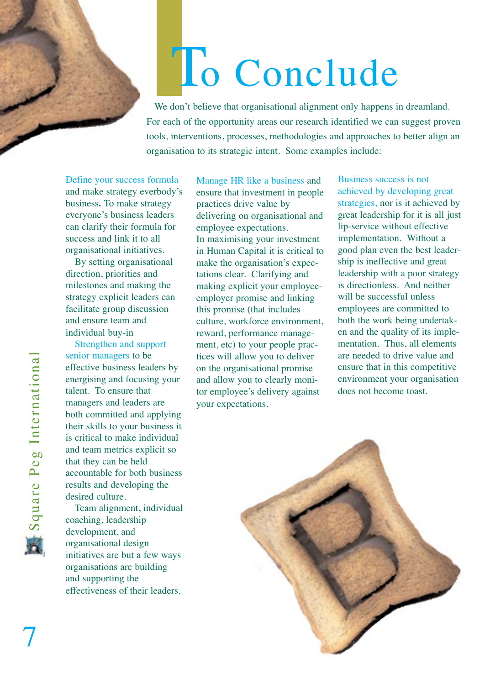# To Conclude

We don't believe that organisational alignment only happens in dreamland. For each of the opportunity areas our research identified we can suggest proven tools, interventions, processes, methodologies and approaches to better align an organisation to its strategic intent. Some examples include:

Define your success formula and make strategy everbody's business**.** To make strategy everyone's business leaders can clarify their formula for success and link it to all organisational initiatives.

By setting organisational direction, priorities and milestones and making the strategy explicit leaders can facilitate group discussion and ensure team and individual buy-in

Strengthen and support senior managers to be effective business leaders by energising and focusing your talent. To ensure that managers and leaders are both committed and applying their skills to your business it is critical to make individual and team metrics explicit so that they can be held accountable for both business results and developing the desired culture.

Team alignment, individual coaching, leadership development, and organisational design initiatives are but a few ways organisations are building and supporting the effectiveness of their leaders.

Manage HR like a business and ensure that investment in people practices drive value by delivering on organisational and employee expectations. In maximising your investment in Human Capital it is critical to make the organisation's expectations clear. Clarifying and making explicit your employeeemployer promise and linking this promise (that includes culture, workforce environment, reward, performance management, etc) to your people practices will allow you to deliver on the organisational promise and allow you to clearly monitor employee's delivery against your expectations.

Business success is not achieved by developing great strategies, nor is it achieved by great leadership for it is all just lip-service without effective implementation. Without a good plan even the best leadership is ineffective and great leadership with a poor strategy is directionless. And neither will be successful unless employees are committed to both the work being undertaken and the quality of its implementation. Thus, all elements are needed to drive value and ensure that in this competitive environment your organisation does not become toast.

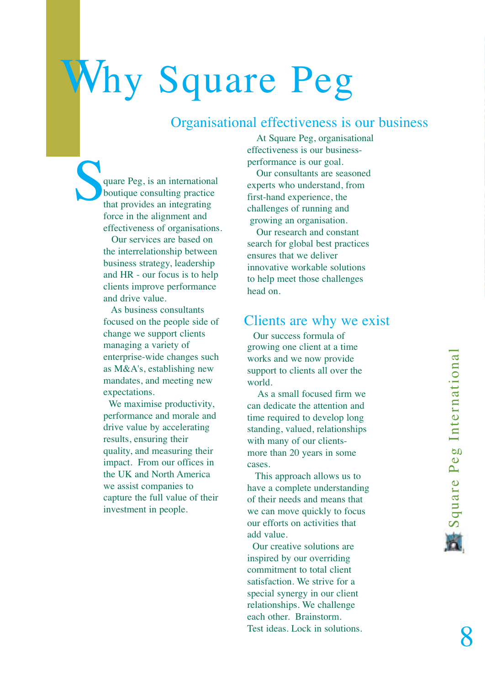## Why Square Peg

#### Organisational effectiveness is our business

quare Peg, is an international boutique consulting practice that provides an integrating force in the alignment and effectiveness of organisations. S<sub>t</sub>

Our services are based on the interrelationship between business strategy, leadership and HR - our focus is to help clients improve performance and drive value.

As business consultants focused on the people side of change we support clients managing a variety of enterprise-wide changes such as M&A's, establishing new mandates, and meeting new expectations.

We maximise productivity, performance and morale and drive value by accelerating results, ensuring their quality, and measuring their impact. From our offices in the UK and North America we assist companies to capture the full value of their investment in people.

At Square Peg, organisational effectiveness is our businessperformance is our goal.

Our consultants are seasoned experts who understand, from first-hand experience, the challenges of running and growing an organisation.

Our research and constant search for global best practices ensures that we deliver innovative workable solutions to help meet those challenges head on.

#### Clients are why we exist

Our success formula of growing one client at a time works and we now provide support to clients all over the world.

As a small focused firm we can dedicate the attention and time required to develop long standing, valued, relationships with many of our clientsmore than 20 years in some cases.

This approach allows us to have a complete understanding of their needs and means that we can move quickly to focus our efforts on activities that add value.

Our creative solutions are inspired by our overriding commitment to total client satisfaction. We strive for a special synergy in our client relationships. We challenge each other. Brainstorm. Test ideas. Lock in solutions.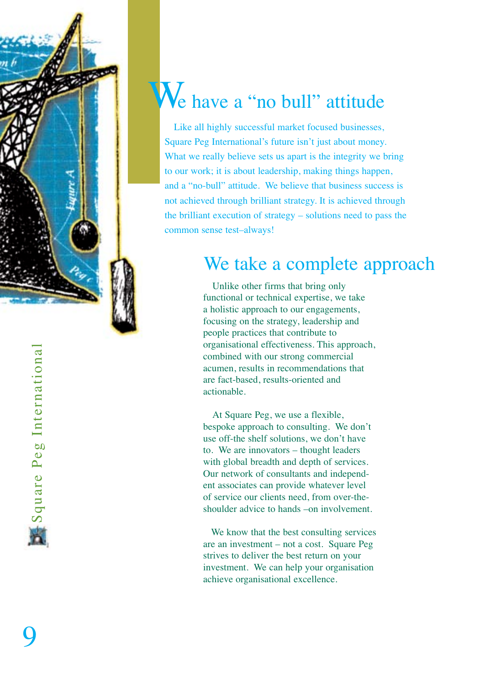

### We have a "no bull" attitude

Like all highly successful market focused businesses, Square Peg International's future isn't just about money. What we really believe sets us apart is the integrity we bring to our work; it is about leadership, making things happen, and a "no-bull" attitude. We believe that business success is not achieved through brilliant strategy. It is achieved through the brilliant execution of strategy – solutions need to pass the common sense test–always!

### We take a complete approach

Unlike other firms that bring only functional or technical expertise, we take a holistic approach to our engagements, focusing on the strategy, leadership and people practices that contribute to organisational effectiveness. This approach, combined with our strong commercial acumen, results in recommendations that are fact-based, results-oriented and actionable.

At Square Peg, we use a flexible, bespoke approach to consulting. We don't use off-the shelf solutions, we don't have to. We are innovators – thought leaders with global breadth and depth of services. Our network of consultants and independent associates can provide whatever level of service our clients need, from over-theshoulder advice to hands –on involvement.

We know that the best consulting services are an investment – not a cost. Square Peg strives to deliver the best return on your investment. We can help your organisation achieve organisational excellence.